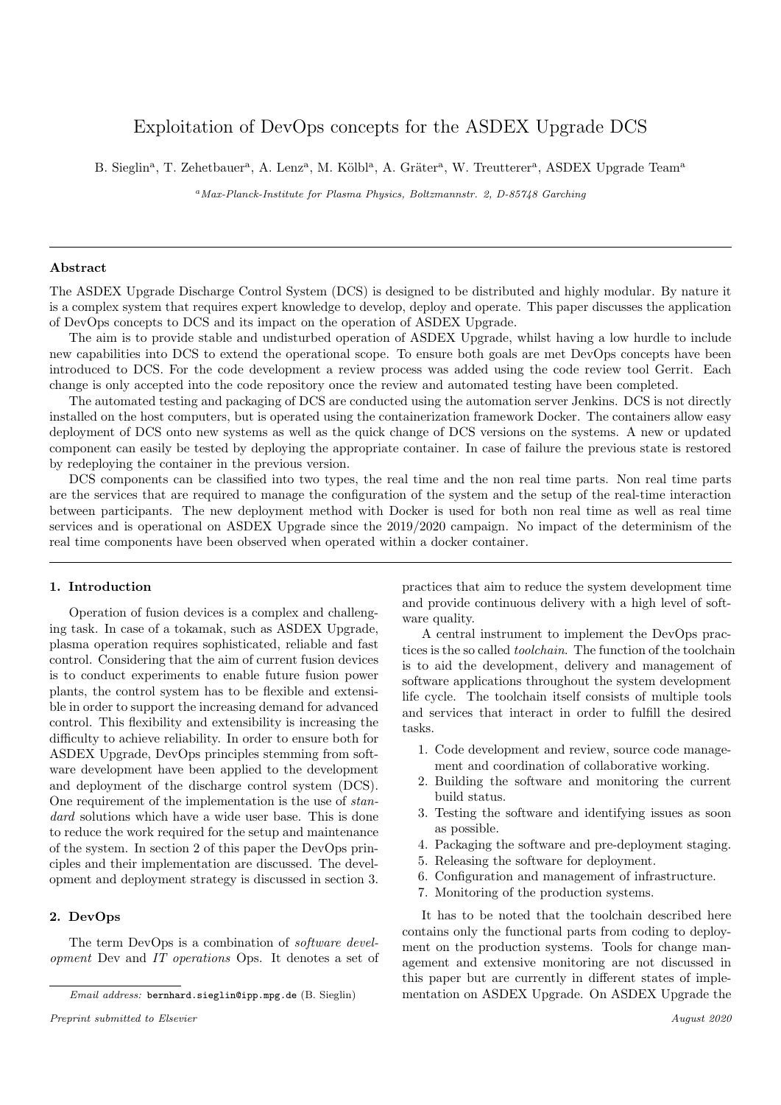# Exploitation of DevOps concepts for the ASDEX Upgrade DCS

B. Sieglin<sup>a</sup>, T. Zehetbauer<sup>a</sup>, A. Lenz<sup>a</sup>, M. Kölbl<sup>a</sup>, A. Gräter<sup>a</sup>, W. Treutterer<sup>a</sup>, ASDEX Upgrade Team<sup>a</sup>

<sup>a</sup>Max-Planck-Institute for Plasma Physics, Boltzmannstr. 2, D-85748 Garching

# Abstract

The ASDEX Upgrade Discharge Control System (DCS) is designed to be distributed and highly modular. By nature it is a complex system that requires expert knowledge to develop, deploy and operate. This paper discusses the application of DevOps concepts to DCS and its impact on the operation of ASDEX Upgrade.

The aim is to provide stable and undisturbed operation of ASDEX Upgrade, whilst having a low hurdle to include new capabilities into DCS to extend the operational scope. To ensure both goals are met DevOps concepts have been introduced to DCS. For the code development a review process was added using the code review tool Gerrit. Each change is only accepted into the code repository once the review and automated testing have been completed.

The automated testing and packaging of DCS are conducted using the automation server Jenkins. DCS is not directly installed on the host computers, but is operated using the containerization framework Docker. The containers allow easy deployment of DCS onto new systems as well as the quick change of DCS versions on the systems. A new or updated component can easily be tested by deploying the appropriate container. In case of failure the previous state is restored by redeploying the container in the previous version.

DCS components can be classified into two types, the real time and the non real time parts. Non real time parts are the services that are required to manage the configuration of the system and the setup of the real-time interaction between participants. The new deployment method with Docker is used for both non real time as well as real time services and is operational on ASDEX Upgrade since the 2019/2020 campaign. No impact of the determinism of the real time components have been observed when operated within a docker container.

## 1. Introduction

Operation of fusion devices is a complex and challenging task. In case of a tokamak, such as ASDEX Upgrade, plasma operation requires sophisticated, reliable and fast control. Considering that the aim of current fusion devices is to conduct experiments to enable future fusion power plants, the control system has to be flexible and extensible in order to support the increasing demand for advanced control. This flexibility and extensibility is increasing the difficulty to achieve reliability. In order to ensure both for ASDEX Upgrade, DevOps principles stemming from software development have been applied to the development and deployment of the discharge control system (DCS). One requirement of the implementation is the use of standard solutions which have a wide user base. This is done to reduce the work required for the setup and maintenance of the system. In section 2 of this paper the DevOps principles and their implementation are discussed. The development and deployment strategy is discussed in section 3.

# 2. DevOps

The term DevOps is a combination of *software devel*opment Dev and IT operations Ops. It denotes a set of

Preprint submitted to Elsevier August 2020

practices that aim to reduce the system development time and provide continuous delivery with a high level of software quality.

A central instrument to implement the DevOps practices is the so called toolchain. The function of the toolchain is to aid the development, delivery and management of software applications throughout the system development life cycle. The toolchain itself consists of multiple tools and services that interact in order to fulfill the desired tasks.

- 1. Code development and review, source code management and coordination of collaborative working.
- 2. Building the software and monitoring the current build status.
- 3. Testing the software and identifying issues as soon as possible.
- 4. Packaging the software and pre-deployment staging.
- 5. Releasing the software for deployment.
- 6. Configuration and management of infrastructure.
- 7. Monitoring of the production systems.

It has to be noted that the toolchain described here contains only the functional parts from coding to deployment on the production systems. Tools for change management and extensive monitoring are not discussed in this paper but are currently in different states of implementation on ASDEX Upgrade. On ASDEX Upgrade the

Email address: bernhard.sieglin@ipp.mpg.de (B. Sieglin)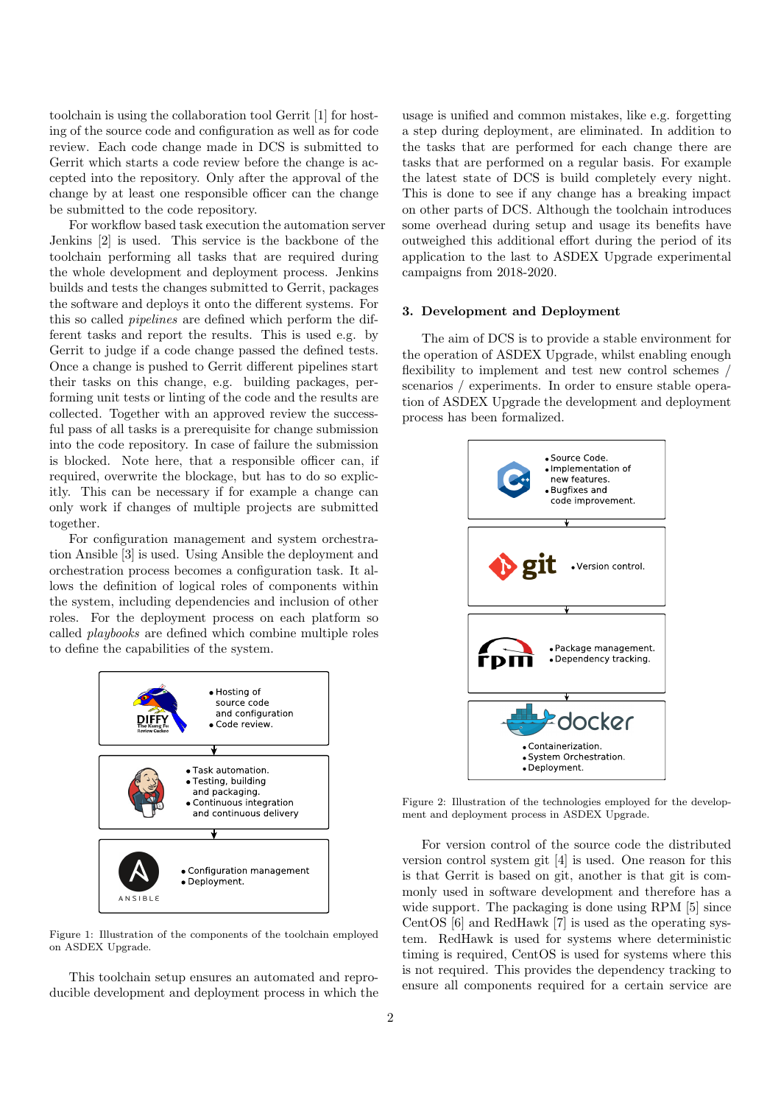toolchain is using the collaboration tool Gerrit [1] for hosting of the source code and configuration as well as for code review. Each code change made in DCS is submitted to Gerrit which starts a code review before the change is accepted into the repository. Only after the approval of the change by at least one responsible officer can the change be submitted to the code repository.

For workflow based task execution the automation server Jenkins [2] is used. This service is the backbone of the toolchain performing all tasks that are required during the whole development and deployment process. Jenkins builds and tests the changes submitted to Gerrit, packages the software and deploys it onto the different systems. For this so called pipelines are defined which perform the different tasks and report the results. This is used e.g. by Gerrit to judge if a code change passed the defined tests. Once a change is pushed to Gerrit different pipelines start their tasks on this change, e.g. building packages, performing unit tests or linting of the code and the results are collected. Together with an approved review the successful pass of all tasks is a prerequisite for change submission into the code repository. In case of failure the submission is blocked. Note here, that a responsible officer can, if required, overwrite the blockage, but has to do so explicitly. This can be necessary if for example a change can only work if changes of multiple projects are submitted together.

For configuration management and system orchestration Ansible [3] is used. Using Ansible the deployment and orchestration process becomes a configuration task. It allows the definition of logical roles of components within the system, including dependencies and inclusion of other roles. For the deployment process on each platform so called playbooks are defined which combine multiple roles to define the capabilities of the system.



Figure 1: Illustration of the components of the toolchain employed on ASDEX Upgrade.

This toolchain setup ensures an automated and reproducible development and deployment process in which the

usage is unified and common mistakes, like e.g. forgetting a step during deployment, are eliminated. In addition to the tasks that are performed for each change there are tasks that are performed on a regular basis. For example the latest state of DCS is build completely every night. This is done to see if any change has a breaking impact on other parts of DCS. Although the toolchain introduces some overhead during setup and usage its benefits have outweighed this additional effort during the period of its application to the last to ASDEX Upgrade experimental campaigns from 2018-2020.

## 3. Development and Deployment

The aim of DCS is to provide a stable environment for the operation of ASDEX Upgrade, whilst enabling enough flexibility to implement and test new control schemes / scenarios / experiments. In order to ensure stable operation of ASDEX Upgrade the development and deployment process has been formalized.



Figure 2: Illustration of the technologies employed for the development and deployment process in ASDEX Upgrade.

For version control of the source code the distributed version control system git [4] is used. One reason for this is that Gerrit is based on git, another is that git is commonly used in software development and therefore has a wide support. The packaging is done using RPM [5] since CentOS [6] and RedHawk [7] is used as the operating system. RedHawk is used for systems where deterministic timing is required, CentOS is used for systems where this is not required. This provides the dependency tracking to ensure all components required for a certain service are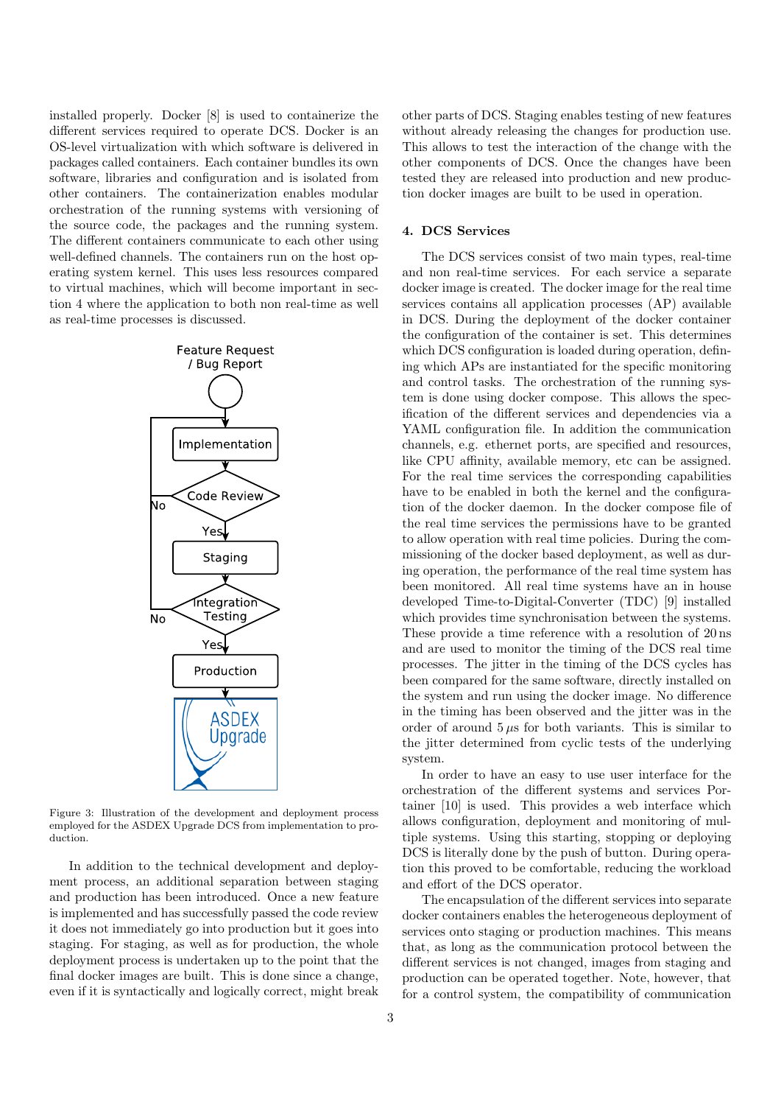installed properly. Docker [8] is used to containerize the different services required to operate DCS. Docker is an OS-level virtualization with which software is delivered in packages called containers. Each container bundles its own software, libraries and configuration and is isolated from other containers. The containerization enables modular orchestration of the running systems with versioning of the source code, the packages and the running system. The different containers communicate to each other using well-defined channels. The containers run on the host operating system kernel. This uses less resources compared to virtual machines, which will become important in section 4 where the application to both non real-time as well as real-time processes is discussed.



Figure 3: Illustration of the development and deployment process employed for the ASDEX Upgrade DCS from implementation to production.

In addition to the technical development and deployment process, an additional separation between staging and production has been introduced. Once a new feature is implemented and has successfully passed the code review it does not immediately go into production but it goes into staging. For staging, as well as for production, the whole deployment process is undertaken up to the point that the final docker images are built. This is done since a change, even if it is syntactically and logically correct, might break other parts of DCS. Staging enables testing of new features without already releasing the changes for production use. This allows to test the interaction of the change with the other components of DCS. Once the changes have been tested they are released into production and new production docker images are built to be used in operation.

# 4. DCS Services

The DCS services consist of two main types, real-time and non real-time services. For each service a separate docker image is created. The docker image for the real time services contains all application processes (AP) available in DCS. During the deployment of the docker container the configuration of the container is set. This determines which DCS configuration is loaded during operation, defining which APs are instantiated for the specific monitoring and control tasks. The orchestration of the running system is done using docker compose. This allows the specification of the different services and dependencies via a YAML configuration file. In addition the communication channels, e.g. ethernet ports, are specified and resources, like CPU affinity, available memory, etc can be assigned. For the real time services the corresponding capabilities have to be enabled in both the kernel and the configuration of the docker daemon. In the docker compose file of the real time services the permissions have to be granted to allow operation with real time policies. During the commissioning of the docker based deployment, as well as during operation, the performance of the real time system has been monitored. All real time systems have an in house developed Time-to-Digital-Converter (TDC) [9] installed which provides time synchronisation between the systems. These provide a time reference with a resolution of 20 ns and are used to monitor the timing of the DCS real time processes. The jitter in the timing of the DCS cycles has been compared for the same software, directly installed on the system and run using the docker image. No difference in the timing has been observed and the jitter was in the order of around  $5 \mu s$  for both variants. This is similar to the jitter determined from cyclic tests of the underlying system.

In order to have an easy to use user interface for the orchestration of the different systems and services Portainer [10] is used. This provides a web interface which allows configuration, deployment and monitoring of multiple systems. Using this starting, stopping or deploying DCS is literally done by the push of button. During operation this proved to be comfortable, reducing the workload and effort of the DCS operator.

The encapsulation of the different services into separate docker containers enables the heterogeneous deployment of services onto staging or production machines. This means that, as long as the communication protocol between the different services is not changed, images from staging and production can be operated together. Note, however, that for a control system, the compatibility of communication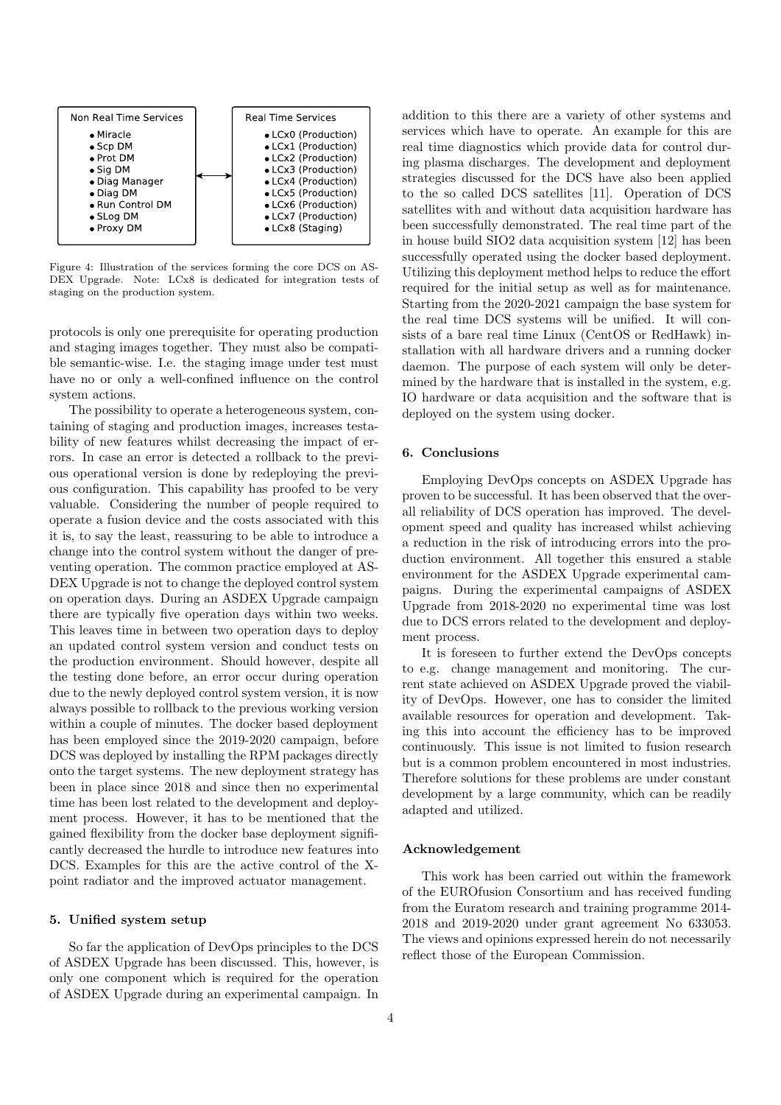

Figure 4: Illustration of the services forming the core DCS on AS-DEX Upgrade. Note: LCx8 is dedicated for integration tests of staging on the production system.

protocols is only one prerequisite for operating production and staging images together. They must also be compatible semantic-wise. I.e. the staging image under test must have no or only a well-confined influence on the control system actions.

The possibility to operate a heterogeneous system, containing of staging and production images, increases testability of new features whilst decreasing the impact of errors. In case an error is detected a rollback to the previous operational version is done by redeploying the previous configuration. This capability has proofed to be very valuable. Considering the number of people required to operate a fusion device and the costs associated with this it is, to say the least, reassuring to be able to introduce a change into the control system without the danger of preventing operation. The common practice employed at AS-DEX Upgrade is not to change the deployed control system on operation days. During an ASDEX Upgrade campaign there are typically five operation days within two weeks. This leaves time in between two operation days to deploy an updated control system version and conduct tests on the production environment. Should however, despite all the testing done before, an error occur during operation due to the newly deployed control system version, it is now always possible to rollback to the previous working version within a couple of minutes. The docker based deployment has been employed since the 2019-2020 campaign, before DCS was deployed by installing the RPM packages directly onto the target systems. The new deployment strategy has been in place since 2018 and since then no experimental time has been lost related to the development and deployment process. However, it has to be mentioned that the gained flexibility from the docker base deployment significantly decreased the hurdle to introduce new features into DCS. Examples for this are the active control of the Xpoint radiator and the improved actuator management.

#### 5. Unified system setup

So far the application of DevOps principles to the DCS of ASDEX Upgrade has been discussed. This, however, is only one component which is required for the operation of ASDEX Upgrade during an experimental campaign. In addition to this there are a variety of other systems and services which have to operate. An example for this are real time diagnostics which provide data for control during plasma discharges. The development and deployment strategies discussed for the DCS have also been applied to the so called DCS satellites [11]. Operation of DCS satellites with and without data acquisition hardware has been successfully demonstrated. The real time part of the in house build SIO2 data acquisition system [12] has been successfully operated using the docker based deployment. Utilizing this deployment method helps to reduce the effort required for the initial setup as well as for maintenance. Starting from the 2020-2021 campaign the base system for the real time DCS systems will be unified. It will consists of a bare real time Linux (CentOS or RedHawk) installation with all hardware drivers and a running docker daemon. The purpose of each system will only be determined by the hardware that is installed in the system, e.g. IO hardware or data acquisition and the software that is deployed on the system using docker.

## 6. Conclusions

Employing DevOps concepts on ASDEX Upgrade has proven to be successful. It has been observed that the overall reliability of DCS operation has improved. The development speed and quality has increased whilst achieving a reduction in the risk of introducing errors into the production environment. All together this ensured a stable environment for the ASDEX Upgrade experimental campaigns. During the experimental campaigns of ASDEX Upgrade from 2018-2020 no experimental time was lost due to DCS errors related to the development and deployment process.

It is foreseen to further extend the DevOps concepts to e.g. change management and monitoring. The current state achieved on ASDEX Upgrade proved the viability of DevOps. However, one has to consider the limited available resources for operation and development. Taking this into account the efficiency has to be improved continuously. This issue is not limited to fusion research but is a common problem encountered in most industries. Therefore solutions for these problems are under constant development by a large community, which can be readily adapted and utilized.

#### Acknowledgement

This work has been carried out within the framework of the EUROfusion Consortium and has received funding from the Euratom research and training programme 2014- 2018 and 2019-2020 under grant agreement No 633053. The views and opinions expressed herein do not necessarily reflect those of the European Commission.